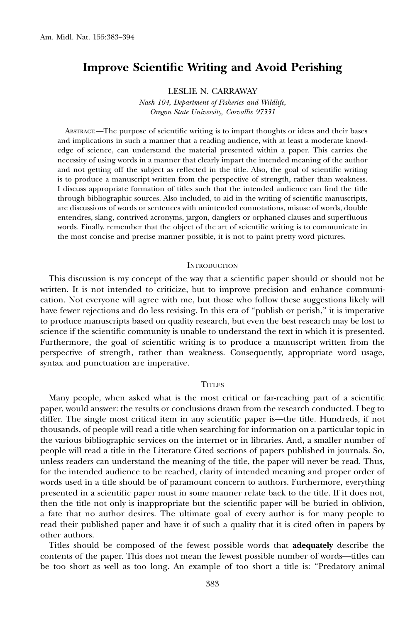# Improve Scientific Writing and Avoid Perishing

LESLIE N. CARRAWAY

Nash 104, Department of Fisheries and Wildlife, Oregon State University, Corvallis 97331

ABSTRACT.—The purpose of scientific writing is to impart thoughts or ideas and their bases and implications in such a manner that a reading audience, with at least a moderate knowledge of science, can understand the material presented within a paper. This carries the necessity of using words in a manner that clearly impart the intended meaning of the author and not getting off the subject as reflected in the title. Also, the goal of scientific writing is to produce a manuscript written from the perspective of strength, rather than weakness. I discuss appropriate formation of titles such that the intended audience can find the title through bibliographic sources. Also included, to aid in the writing of scientific manuscripts, are discussions of words or sentences with unintended connotations, misuse of words, double entendres, slang, contrived acronyms, jargon, danglers or orphaned clauses and superfluous words. Finally, remember that the object of the art of scientific writing is to communicate in the most concise and precise manner possible, it is not to paint pretty word pictures.

## **INTRODUCTION**

This discussion is my concept of the way that a scientific paper should or should not be written. It is not intended to criticize, but to improve precision and enhance communication. Not everyone will agree with me, but those who follow these suggestions likely will have fewer rejections and do less revising. In this era of "publish or perish," it is imperative to produce manuscripts based on quality research, but even the best research may be lost to science if the scientific community is unable to understand the text in which it is presented. Furthermore, the goal of scientific writing is to produce a manuscript written from the perspective of strength, rather than weakness. Consequently, appropriate word usage, syntax and punctuation are imperative.

# **TITLES**

Many people, when asked what is the most critical or far-reaching part of a scientific paper, would answer: the results or conclusions drawn from the research conducted. I beg to differ. The single most critical item in any scientific paper is—the title. Hundreds, if not thousands, of people will read a title when searching for information on a particular topic in the various bibliographic services on the internet or in libraries. And, a smaller number of people will read a title in the Literature Cited sections of papers published in journals. So, unless readers can understand the meaning of the title, the paper will never be read. Thus, for the intended audience to be reached, clarity of intended meaning and proper order of words used in a title should be of paramount concern to authors. Furthermore, everything presented in a scientific paper must in some manner relate back to the title. If it does not, then the title not only is inappropriate but the scientific paper will be buried in oblivion, a fate that no author desires. The ultimate goal of every author is for many people to read their published paper and have it of such a quality that it is cited often in papers by other authors.

Titles should be composed of the fewest possible words that adequately describe the contents of the paper. This does not mean the fewest possible number of words—titles can be too short as well as too long. An example of too short a title is: ''Predatory animal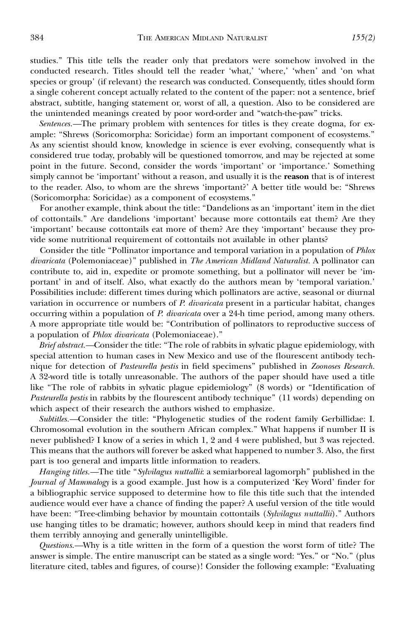studies.'' This title tells the reader only that predators were somehow involved in the conducted research. Titles should tell the reader 'what,' 'where,' 'when' and 'on what species or group' (if relevant) the research was conducted. Consequently, titles should form a single coherent concept actually related to the content of the paper: not a sentence, brief abstract, subtitle, hanging statement or, worst of all, a question. Also to be considered are the unintended meanings created by poor word-order and ''watch-the-paw'' tricks.

Sentences.—The primary problem with sentences for titles is they create dogma, for example: ''Shrews (Soricomorpha: Soricidae) form an important component of ecosystems.'' As any scientist should know, knowledge in science is ever evolving, consequently what is considered true today, probably will be questioned tomorrow, and may be rejected at some point in the future. Second, consider the words 'important' or 'importance.' Something simply cannot be 'important' without a reason, and usually it is the reason that is of interest to the reader. Also, to whom are the shrews 'important?' A better title would be: ''Shrews (Soricomorpha: Soricidae) as a component of ecosystems.''

For another example, think about the title: ''Dandelions as an 'important' item in the diet of cottontails.'' Are dandelions 'important' because more cottontails eat them? Are they 'important' because cottontails eat more of them? Are they 'important' because they provide some nutritional requirement of cottontails not available in other plants?

Consider the title "Pollinator importance and temporal variation in a population of *Phlox* divaricata (Polemoniaceae)'' published in The American Midland Naturalist. A pollinator can contribute to, aid in, expedite or promote something, but a pollinator will never be 'important' in and of itself. Also, what exactly do the authors mean by 'temporal variation.' Possibilities include: different times during which pollinators are active, seasonal or diurnal variation in occurrence or numbers of P. divaricata present in a particular habitat, changes occurring within a population of P. divaricata over a 24-h time period, among many others. A more appropriate title would be: ''Contribution of pollinators to reproductive success of a population of Phlox divaricata (Polemoniaceae).''

Brief abstract.—Consider the title: "The role of rabbits in sylvatic plague epidemiology, with special attention to human cases in New Mexico and use of the flourescent antibody technique for detection of Pasteurella pestis in field specimens" published in Zoonoses Research. A 32-word title is totally unreasonable. The authors of the paper should have used a title like ''The role of rabbits in sylvatic plague epidemiology'' (8 words) or ''Identification of Pasteurella pestis in rabbits by the flourescent antibody technique" (11 words) depending on which aspect of their research the authors wished to emphasize.

Subtitles.—Consider the title: ''Phylogenetic studies of the rodent family Gerbillidae: I. Chromosomal evolution in the southern African complex.'' What happens if number II is never published? I know of a series in which 1, 2 and 4 were published, but 3 was rejected. This means that the authors will forever be asked what happened to number 3. Also, the first part is too general and imparts little information to readers.

Hanging titles.—The title "Sylvilagus nuttallii: a semiarboreal lagomorph" published in the Journal of Mammalogy is a good example. Just how is a computerized 'Key Word' finder for a bibliographic service supposed to determine how to file this title such that the intended audience would ever have a chance of finding the paper? A useful version of the title would have been: "Tree-climbing behavior by mountain cottontails (Sylvilagus nuttallii)." Authors use hanging titles to be dramatic; however, authors should keep in mind that readers find them terribly annoying and generally unintelligible.

Questions.—Why is a title written in the form of a question the worst form of title? The answer is simple. The entire manuscript can be stated as a single word: ''Yes.'' or ''No.'' (plus literature cited, tables and figures, of course)! Consider the following example: ''Evaluating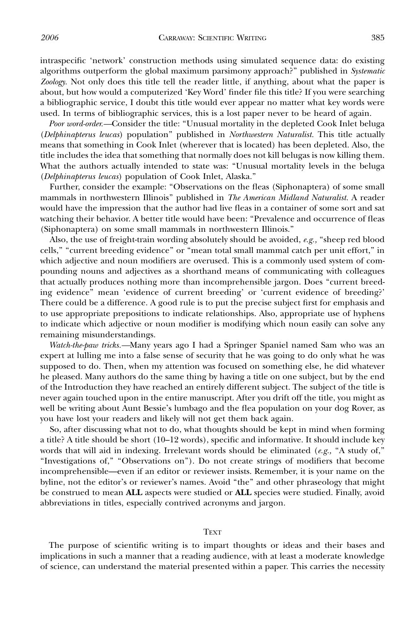intraspecific 'network' construction methods using simulated sequence data: do existing algorithms outperform the global maximum parsimony approach?" published in Systematic Zoology. Not only does this title tell the reader little, if anything, about what the paper is about, but how would a computerized 'Key Word' finder file this title? If you were searching a bibliographic service, I doubt this title would ever appear no matter what key words were used. In terms of bibliographic services, this is a lost paper never to be heard of again.

Poor word-order.—Consider the title: "Unusual mortality in the depleted Cook Inlet beluga (Delphinapterus leucas) population'' published in Northwestern Naturalist. This title actually means that something in Cook Inlet (wherever that is located) has been depleted. Also, the title includes the idea that something that normally does not kill belugas is now killing them. What the authors actually intended to state was: ''Unusual mortality levels in the beluga (Delphinapterus leucas) population of Cook Inlet, Alaska.''

Further, consider the example: ''Observations on the fleas (Siphonaptera) of some small mammals in northwestern Illinois" published in The American Midland Naturalist. A reader would have the impression that the author had live fleas in a container of some sort and sat watching their behavior. A better title would have been: ''Prevalence and occurrence of fleas (Siphonaptera) on some small mammals in northwestern Illinois.''

Also, the use of freight-train wording absolutely should be avoided, e.g., "sheep red blood cells,'' ''current breeding evidence'' or ''mean total small mammal catch per unit effort,'' in which adjective and noun modifiers are overused. This is a commonly used system of compounding nouns and adjectives as a shorthand means of communicating with colleagues that actually produces nothing more than incomprehensible jargon. Does ''current breeding evidence'' mean 'evidence of current breeding' or 'current evidence of breeding?' There could be a difference. A good rule is to put the precise subject first for emphasis and to use appropriate prepositions to indicate relationships. Also, appropriate use of hyphens to indicate which adjective or noun modifier is modifying which noun easily can solve any remaining misunderstandings.

Watch-the-paw tricks.—Many years ago I had a Springer Spaniel named Sam who was an expert at lulling me into a false sense of security that he was going to do only what he was supposed to do. Then, when my attention was focused on something else, he did whatever he pleased. Many authors do the same thing by having a title on one subject, but by the end of the Introduction they have reached an entirely different subject. The subject of the title is never again touched upon in the entire manuscript. After you drift off the title, you might as well be writing about Aunt Bessie's lumbago and the flea population on your dog Rover, as you have lost your readers and likely will not get them back again.

So, after discussing what not to do, what thoughts should be kept in mind when forming a title? A title should be short (10–12 words), specific and informative. It should include key words that will aid in indexing. Irrelevant words should be eliminated  $(e.g., "A study of,"$ "Investigations of," "Observations on"). Do not create strings of modifiers that become incomprehensible—even if an editor or reviewer insists. Remember, it is your name on the byline, not the editor's or reviewer's names. Avoid ''the'' and other phraseology that might be construed to mean ALL aspects were studied or ALL species were studied. Finally, avoid abbreviations in titles, especially contrived acronyms and jargon.

## **TEXT**

The purpose of scientific writing is to impart thoughts or ideas and their bases and implications in such a manner that a reading audience, with at least a moderate knowledge of science, can understand the material presented within a paper. This carries the necessity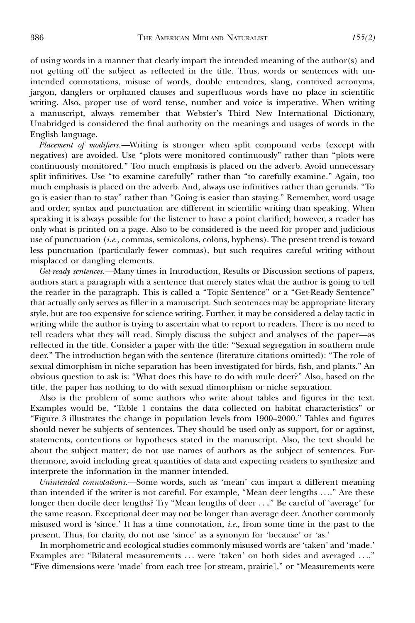of using words in a manner that clearly impart the intended meaning of the author(s) and not getting off the subject as reflected in the title. Thus, words or sentences with unintended connotations, misuse of words, double entendres, slang, contrived acronyms, jargon, danglers or orphaned clauses and superfluous words have no place in scientific writing. Also, proper use of word tense, number and voice is imperative. When writing a manuscript, always remember that Webster's Third New International Dictionary, Unabridged is considered the final authority on the meanings and usages of words in the English language.

Placement of modifiers.—Writing is stronger when split compound verbs (except with negatives) are avoided. Use ''plots were monitored continuously'' rather than ''plots were continuously monitored.'' Too much emphasis is placed on the adverb. Avoid unnecessary split infinitives. Use ''to examine carefully'' rather than ''to carefully examine.'' Again, too much emphasis is placed on the adverb. And, always use infinitives rather than gerunds. ''To go is easier than to stay'' rather than ''Going is easier than staying.'' Remember, word usage and order, syntax and punctuation are different in scientific writing than speaking. When speaking it is always possible for the listener to have a point clarified; however, a reader has only what is printed on a page. Also to be considered is the need for proper and judicious use of punctuation (i.e., commas, semicolons, colons, hyphens). The present trend is toward less punctuation (particularly fewer commas), but such requires careful writing without misplaced or dangling elements.

Get-ready sentences.—Many times in Introduction, Results or Discussion sections of papers, authors start a paragraph with a sentence that merely states what the author is going to tell the reader in the paragraph. This is called a ''Topic Sentence'' or a ''Get-Ready Sentence'' that actually only serves as filler in a manuscript. Such sentences may be appropriate literary style, but are too expensive for science writing. Further, it may be considered a delay tactic in writing while the author is trying to ascertain what to report to readers. There is no need to tell readers what they will read. Simply discuss the subject and analyses of the paper—as reflected in the title. Consider a paper with the title: ''Sexual segregation in southern mule deer.'' The introduction began with the sentence (literature citations omitted): ''The role of sexual dimorphism in niche separation has been investigated for birds, fish, and plants.'' An obvious question to ask is: ''What does this have to do with mule deer?'' Also, based on the title, the paper has nothing to do with sexual dimorphism or niche separation.

Also is the problem of some authors who write about tables and figures in the text. Examples would be, ''Table 1 contains the data collected on habitat characteristics'' or ''Figure 3 illustrates the change in population levels from 1900–2000.'' Tables and figures should never be subjects of sentences. They should be used only as support, for or against, statements, contentions or hypotheses stated in the manuscript. Also, the text should be about the subject matter; do not use names of authors as the subject of sentences. Furthermore, avoid including great quantities of data and expecting readers to synthesize and interprete the information in the manner intended.

Unintended connotations.—Some words, such as 'mean' can impart a different meaning than intended if the writer is not careful. For example, "Mean deer lengths ...." Are these longer then docile deer lengths? Try ''Mean lengths of deer ....'' Be careful of 'average' for the same reason. Exceptional deer may not be longer than average deer. Another commonly misused word is 'since.' It has a time connotation, i.e., from some time in the past to the present. Thus, for clarity, do not use 'since' as a synonym for 'because' or 'as.'

In morphometric and ecological studies commonly misused words are 'taken' and 'made.' Examples are: ''Bilateral measurements ... were 'taken' on both sides and averaged ...,'' ''Five dimensions were 'made' from each tree [or stream, prairie],'' or ''Measurements were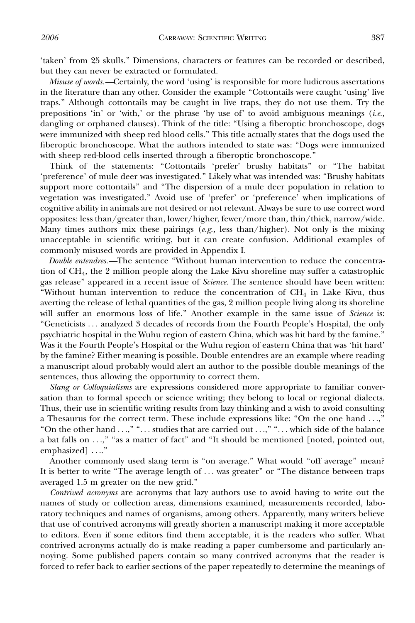'taken' from 25 skulls.'' Dimensions, characters or features can be recorded or described, but they can never be extracted or formulated.

Misuse of words.—Certainly, the word 'using' is responsible for more ludicrous assertations in the literature than any other. Consider the example "Cottontails were caught 'using' live traps.'' Although cottontails may be caught in live traps, they do not use them. Try the prepositions 'in' or 'with,' or the phrase 'by use of' to avoid ambiguous meanings  $(i.e.,$ dangling or orphaned clauses). Think of the title: ''Using a fiberoptic bronchoscope, dogs were immunized with sheep red blood cells.'' This title actually states that the dogs used the fiberoptic bronchoscope. What the authors intended to state was: ''Dogs were immunized with sheep red-blood cells inserted through a fiberoptic bronchoscope."

Think of the statements: "Cottontails 'prefer' brushy habitats" or "The habitat 'preference' of mule deer was investigated.'' Likely what was intended was: ''Brushy habitats support more cottontails'' and ''The dispersion of a mule deer population in relation to vegetation was investigated.'' Avoid use of 'prefer' or 'preference' when implications of cognitive ability in animals are not desired or not relevant. Always be sure to use correct word opposites: less than/greater than, lower/higher, fewer/more than, thin/thick, narrow/wide. Many times authors mix these pairings  $(e.g.,$  less than/higher). Not only is the mixing unacceptable in scientific writing, but it can create confusion. Additional examples of commonly misused words are provided in Appendix I.

Double entendres.—The sentence ''Without human intervention to reduce the concentration of CH4, the 2 million people along the Lake Kivu shoreline may suffer a catastrophic gas release" appeared in a recent issue of *Science*. The sentence should have been written: "Without human intervention to reduce the concentration of  $CH_4$  in Lake Kivu, thus averting the release of lethal quantities of the gas, 2 million people living along its shoreline will suffer an enormous loss of life." Another example in the same issue of Science is: ''Geneticists ... analyzed 3 decades of records from the Fourth People's Hospital, the only psychiatric hospital in the Wuhu region of eastern China, which was hit hard by the famine.'' Was it the Fourth People's Hospital or the Wuhu region of eastern China that was 'hit hard' by the famine? Either meaning is possible. Double entendres are an example where reading a manuscript aloud probably would alert an author to the possible double meanings of the sentences, thus allowing the opportunity to correct them.

Slang or Colloquialisms are expressions considered more appropriate to familiar conversation than to formal speech or science writing; they belong to local or regional dialects. Thus, their use in scientific writing results from lazy thinking and a wish to avoid consulting a Thesaurus for the correct term. These include expressions like: ''On the one hand ...,'' "On the other hand ...," "... studies that are carried out ...," "... which side of the balance a bat falls on ...," "as a matter of fact" and "It should be mentioned [noted, pointed out, emphasized] ....''

Another commonly used slang term is "on average." What would "off average" mean? It is better to write "The average length of ... was greater" or "The distance between traps averaged 1.5 m greater on the new grid.''

Contrived acronyms are acronyms that lazy authors use to avoid having to write out the names of study or collection areas, dimensions examined, measurements recorded, laboratory techniques and names of organisms, among others. Apparently, many writers believe that use of contrived acronyms will greatly shorten a manuscript making it more acceptable to editors. Even if some editors find them acceptable, it is the readers who suffer. What contrived acronyms actually do is make reading a paper cumbersome and particularly annoying. Some published papers contain so many contrived acronyms that the reader is forced to refer back to earlier sections of the paper repeatedly to determine the meanings of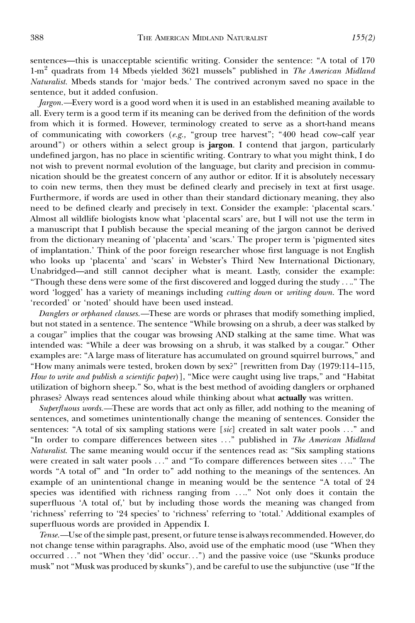sentences—this is unacceptable scientific writing. Consider the sentence: "A total of 170  $1-m^2$  quadrats from 14 Mbeds yielded 3621 mussels" published in The American Midland Naturalist. Mbeds stands for 'major beds.' The contrived acronym saved no space in the sentence, but it added confusion.

Jargon.—Every word is a good word when it is used in an established meaning available to all. Every term is a good term if its meaning can be derived from the definition of the words from which it is formed. However, terminology created to serve as a short-hand means of communicating with coworkers  $(e.g., "group tree harvest"; "400 head cow–calf year"$ around") or others within a select group is **jargon**. I contend that jargon, particularly undefined jargon, has no place in scientific writing. Contrary to what you might think, I do not wish to prevent normal evolution of the language, but clarity and precision in communication should be the greatest concern of any author or editor. If it is absolutely necessary to coin new terms, then they must be defined clearly and precisely in text at first usage. Furthermore, if words are used in other than their standard dictionary meaning, they also need to be defined clearly and precisely in text. Consider the example: 'placental scars.' Almost all wildlife biologists know what 'placental scars' are, but I will not use the term in a manuscript that I publish because the special meaning of the jargon cannot be derived from the dictionary meaning of 'placenta' and 'scars.' The proper term is 'pigmented sites of implantation.' Think of the poor foreign researcher whose first language is not English who looks up 'placenta' and 'scars' in Webster's Third New International Dictionary, Unabridged—and still cannot decipher what is meant. Lastly, consider the example: ''Though these dens were some of the first discovered and logged during the study ....'' The word 'logged' has a variety of meanings including *cutting down* or *writing down*. The word 'recorded' or 'noted' should have been used instead.

Danglers or orphaned clauses.—These are words or phrases that modify something implied, but not stated in a sentence. The sentence ''While browsing on a shrub, a deer was stalked by a cougar'' implies that the cougar was browsing AND stalking at the same time. What was intended was: ''While a deer was browsing on a shrub, it was stalked by a cougar.'' Other examples are: ''A large mass of literature has accumulated on ground squirrel burrows,'' and ''How many animals were tested, broken down by sex?'' [rewritten from Day (1979:114–115, How to write and publish a scientific paper)], "Mice were caught using live traps," and "Habitat utilization of bighorn sheep.'' So, what is the best method of avoiding danglers or orphaned phrases? Always read sentences aloud while thinking about what actually was written.

Superfluous words.—These are words that act only as filler, add nothing to the meaning of sentences, and sometimes unintentionally change the meaning of sentences. Consider the sentences: "A total of six sampling stations were [sic] created in salt water pools ..." and "In order to compare differences between sites ..." published in The American Midland Naturalist. The same meaning would occur if the sentences read as: ''Six sampling stations were created in salt water pools ...'' and ''To compare differences between sites ....'' The words "A total of" and "In order to" add nothing to the meanings of the sentences. An example of an unintentional change in meaning would be the sentence "A total of 24 species was identified with richness ranging from ....'' Not only does it contain the superfluous 'A total of,' but by including those words the meaning was changed from 'richness' referring to '24 species' to 'richness' referring to 'total.' Additional examples of superfluous words are provided in Appendix I.

Tense.—Use of the simple past, present, or future tense is always recommended. However, do not change tense within paragraphs. Also, avoid use of the emphatic mood (use ''When they occurred ..." not "When they 'did' occur...") and the passive voice (use "Skunks produce musk'' not ''Musk was produced by skunks''), and be careful to use the subjunctive (use ''If the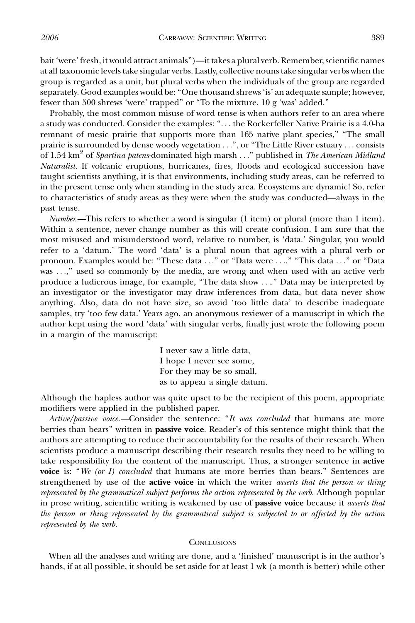bait 'were' fresh, it would attract animals'')—it takes a plural verb. Remember, scientific names at all taxonomic levels take singular verbs. Lastly, collective nouns take singular verbs when the group is regarded as a unit, but plural verbs when the individuals of the group are regarded separately. Good examples would be: ''One thousand shrews 'is' an adequate sample; however, fewer than 500 shrews 'were' trapped'' or ''To the mixture, 10 g 'was' added.''

Probably, the most common misuse of word tense is when authors refer to an area where a study was conducted. Consider the examples: ''... the Rockerfeller Native Prairie is a 4.0-ha remnant of mesic prairie that supports more than 165 native plant species,'' ''The small prairie is surrounded by dense woody vegetation ...'', or ''The Little River estuary ... consists of 1.54 km<sup>2</sup> of Spartina patens-dominated high marsh ..." published in The American Midland Naturalist. If volcanic eruptions, hurricanes, fires, floods and ecological succession have taught scientists anything, it is that environments, including study areas, can be referred to in the present tense only when standing in the study area. Ecosystems are dynamic! So, refer to characteristics of study areas as they were when the study was conducted—always in the past tense.

Number.—This refers to whether a word is singular  $(1 \text{ item})$  or plural (more than  $1 \text{ item}$ ). Within a sentence, never change number as this will create confusion. I am sure that the most misused and misunderstood word, relative to number, is 'data.' Singular, you would refer to a 'datum.' The word 'data' is a plural noun that agrees with a plural verb or pronoun. Examples would be: ''These data ...'' or ''Data were ....'' ''This data ...'' or ''Data was ...,'' used so commonly by the media, are wrong and when used with an active verb produce a ludicrous image, for example, "The data show ...." Data may be interpreted by an investigator or the investigator may draw inferences from data, but data never show anything. Also, data do not have size, so avoid 'too little data' to describe inadequate samples, try 'too few data.' Years ago, an anonymous reviewer of a manuscript in which the author kept using the word 'data' with singular verbs, finally just wrote the following poem in a margin of the manuscript:

> I never saw a little data, I hope I never see some, For they may be so small, as to appear a single datum.

Although the hapless author was quite upset to be the recipient of this poem, appropriate modifiers were applied in the published paper.

Active/passive voice.—Consider the sentence: "It was concluded that humans ate more berries than bears" written in **passive voice**. Reader's of this sentence might think that the authors are attempting to reduce their accountability for the results of their research. When scientists produce a manuscript describing their research results they need to be willing to take responsibility for the content of the manuscript. Thus, a stronger sentence in **active** voice is: "We (or I) concluded that humans ate more berries than bears." Sentences are strengthened by use of the **active voice** in which the writer *asserts that the person or thing* represented by the grammatical subject performs the action represented by the verb. Although popular in prose writing, scientific writing is weakened by use of passive voice because it asserts that the person or thing represented by the grammatical subject is subjected to or affected by the action represented by the verb.

#### **CONCLUSIONS**

When all the analyses and writing are done, and a 'finished' manuscript is in the author's hands, if at all possible, it should be set aside for at least 1 wk (a month is better) while other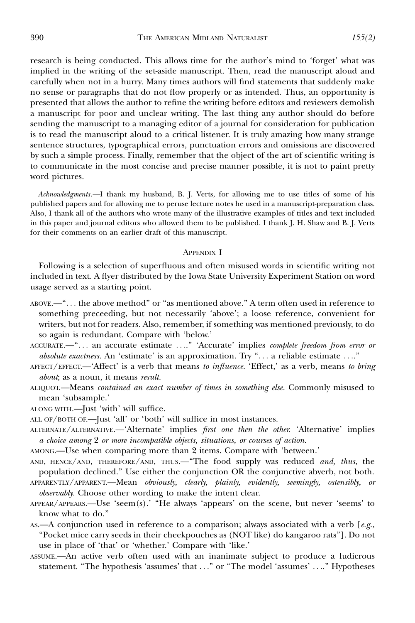research is being conducted. This allows time for the author's mind to 'forget' what was implied in the writing of the set-aside manuscript. Then, read the manuscript aloud and carefully when not in a hurry. Many times authors will find statements that suddenly make no sense or paragraphs that do not flow properly or as intended. Thus, an opportunity is presented that allows the author to refine the writing before editors and reviewers demolish a manuscript for poor and unclear writing. The last thing any author should do before sending the manuscript to a managing editor of a journal for consideration for publication is to read the manuscript aloud to a critical listener. It is truly amazing how many strange sentence structures, typographical errors, punctuation errors and omissions are discovered by such a simple process. Finally, remember that the object of the art of scientific writing is to communicate in the most concise and precise manner possible, it is not to paint pretty word pictures.

Acknowledgments.—I thank my husband, B. J. Verts, for allowing me to use titles of some of his published papers and for allowing me to peruse lecture notes he used in a manuscript-preparation class. Also, I thank all of the authors who wrote many of the illustrative examples of titles and text included in this paper and journal editors who allowed them to be published. I thank J. H. Shaw and B. J. Verts for their comments on an earlier draft of this manuscript.

#### APPENDIX I

Following is a selection of superfluous and often misused words in scientific writing not included in text. A flyer distributed by the Iowa State University Experiment Station on word usage served as a starting point.

- ABOVE.—''... the above method'' or ''as mentioned above.'' A term often used in reference to something preceeding, but not necessarily 'above'; a loose reference, convenient for writers, but not for readers. Also, remember, if something was mentioned previously, to do so again is redundant. Compare with 'below.'
- ACCURATE.—"... an accurate estimate ...." 'Accurate' implies *complete freedom from error or* absolute exactness. An 'estimate' is an approximation. Try "... a reliable estimate ...."
- AFFECT/EFFECT.—'Affect' is a verb that means to influence. 'Effect,' as a verb, means to bring about; as a noun, it means result.
- ALIQUOT.—Means contained an exact number of times in something else. Commonly misused to mean 'subsample.'
- ALONG WITH.—Just 'with' will suffice.
- ALL OF/BOTH OF.—Just 'all' or 'both' will suffice in most instances.
- ALTERNATE/ALTERNATIVE.—'Alternate' implies first one then the other. 'Alternative' implies a choice among 2 or more incompatible objects, situations, or courses of action.
- AMONG.—Use when comparing more than 2 items. Compare with 'between.'

AND, HENCE/AND, THEREFORE/AND, THUS.—"The food supply was reduced and, thus, the population declined.'' Use either the conjunction OR the conjunctive abverb, not both.

- APPARENTLY/APPARENT.—Mean obviously, clearly, plainly, evidently, seemingly, ostensibly, or observably. Choose other wording to make the intent clear.
- APPEAR/APPEARS.—Use 'seem(s).' ''He always 'appears' on the scene, but never 'seems' to know what to do.''
- AS.—A conjunction used in reference to a comparison; always associated with a verb  $[e.g.,]$ ''Pocket mice carry seeds in their cheekpouches as (NOT like) do kangaroo rats'']. Do not use in place of 'that' or 'whether.' Compare with 'like.'
- ASSUME.—An active verb often used with an inanimate subject to produce a ludicrous statement. "The hypothesis 'assumes' that ..." or "The model 'assumes' ...." Hypotheses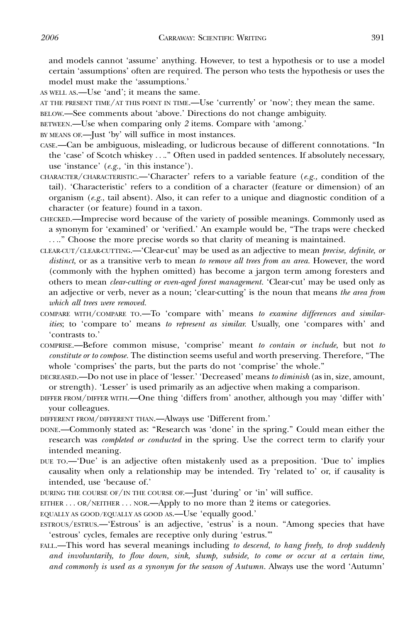and models cannot 'assume' anything. However, to test a hypothesis or to use a model certain 'assumptions' often are required. The person who tests the hypothesis or uses the model must make the 'assumptions.'

AS WELL AS.—Use 'and'; it means the same.

AT THE PRESENT TIME/AT THIS POINT IN TIME.—Use 'currently' or 'now'; they mean the same.

BELOW.—See comments about 'above.' Directions do not change ambiguity.

BETWEEN.—Use when comparing only 2 items. Compare with 'among.'

BY MEANS OF.—Just 'by' will suffice in most instances.

- CASE.—Can be ambiguous, misleading, or ludicrous because of different connotations. ''In the 'case' of Scotch whiskey ....'' Often used in padded sentences. If absolutely necessary, use 'instance' (e.g., 'in this instance').
- CHARACTER/CHARACTERISTIC.—'Character' refers to a variable feature (e.g., condition of the tail). 'Characteristic' refers to a condition of a character (feature or dimension) of an organism  $(e.g., tail absent)$ . Also, it can refer to a unique and diagnostic condition of a character (or feature) found in a taxon.
- CHECKED.—Imprecise word because of the variety of possible meanings. Commonly used as a synonym for 'examined' or 'verified.' An example would be, ''The traps were checked ....'' Choose the more precise words so that clarity of meaning is maintained.
- CLEAR-CUT/CLEAR-CUTTING.—'Clear-cut' may be used as an adjective to mean precise, definite, or distinct, or as a transitive verb to mean to remove all trees from an area. However, the word (commonly with the hyphen omitted) has become a jargon term among foresters and others to mean clear-cutting or even-aged forest management. 'Clear-cut' may be used only as an adjective or verb, never as a noun; 'clear-cutting' is the noun that means the area from which all trees were removed.
- COMPARE WITH/COMPARE TO.—To 'compare with' means to examine differences and similarities; to 'compare to' means to represent as similar. Usually, one 'compares with' and 'contrasts to.'
- COMPRISE.—Before common misuse, 'comprise' meant to contain or include, but not to constitute or to compose. The distinction seems useful and worth preserving. Therefore, ''The whole 'comprises' the parts, but the parts do not 'comprise' the whole.''
- DECREASED.—Do not use in place of 'lesser.' 'Decreased' means to diminish (as in, size, amount, or strength). 'Lesser' is used primarily as an adjective when making a comparison.
- DIFFER FROM/DIFFER WITH.—One thing 'differs from' another, although you may 'differ with' your colleagues.

DIFFERENT FROM/DIFFERENT THAN.—Always use 'Different from.'

- DONE.—Commonly stated as: ''Research was 'done' in the spring.'' Could mean either the research was completed or conducted in the spring. Use the correct term to clarify your intended meaning.
- DUE TO.—'Due' is an adjective often mistakenly used as a preposition. 'Due to' implies causality when only a relationship may be intended. Try 'related to' or, if causality is intended, use 'because of.'
- DURING THE COURSE OF/IN THE COURSE OF.—Just 'during' or 'in' will suffice.

EITHER ... OR/NEITHER ... NOR.—Apply to no more than 2 items or categories.

EQUALLY AS GOOD/EQUALLY AS GOOD AS.—Use 'equally good.'

- ESTROUS/ESTRUS.—'Estrous' is an adjective, 'estrus' is a noun. ''Among species that have 'estrous' cycles, females are receptive only during 'estrus.'''
- FALL.—This word has several meanings including to descend, to hang freely, to drop suddenly and involuntarily, to flow down, sink, slump, subside, to come or occur at a certain time, and commonly is used as a synonym for the season of Autumn. Always use the word 'Autumn'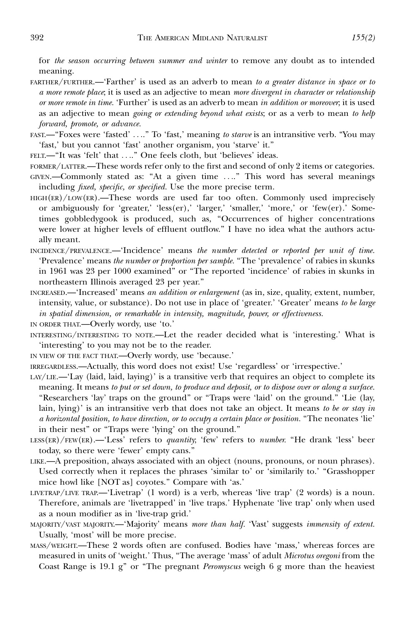for the season occurring between summer and winter to remove any doubt as to intended meaning.

- FARTHER/FURTHER.—'Farther' is used as an adverb to mean to a greater distance in space or to a more remote place; it is used as an adjective to mean more divergent in character or relationship or more remote in time. 'Further' is used as an adverb to mean in addition or moreover; it is used as an adjective to mean going or extending beyond what exists; or as a verb to mean to help forward, promote, or advance.
- FAST.—"Foxes were 'fasted' ...." To 'fast,' meaning to starve is an intransitive verb. "You may 'fast,' but you cannot 'fast' another organism, you 'starve' it.''
- FELT.—"It was 'felt' that ...." One feels cloth, but 'believes' ideas.
- FORMER/LATTER.—These words refer only to the first and second of only 2 items or categories.
- GIVEN.—Commonly stated as: "At a given time ...." This word has several meanings including *fixed, specific, or specified*. Use the more precise term.
- $H = H = (ER)/LOW(ER)$ . These words are used far too often. Commonly used imprecisely or ambiguously for 'greater,' 'less(er),' 'larger,' 'smaller,' 'more,' or 'few(er).' Sometimes gobbledygook is produced, such as, ''Occurrences of higher concentrations were lower at higher levels of effluent outflow.'' I have no idea what the authors actually meant.
- INCIDENCE/PREVALENCE.—'Incidence' means the number detected or reported per unit of time. 'Prevalence' means the number or proportion per sample. "The 'prevalence' of rabies in skunks in 1961 was 23 per 1000 examined'' or ''The reported 'incidence' of rabies in skunks in northeastern Illinois averaged 23 per year.''
- INCREASED.—'Increased' means an addition or enlargement (as in, size, quality, extent, number, intensity, value, or substance). Do not use in place of 'greater.' 'Greater' means to be large in spatial dimension, or remarkable in intensity, magnitude, power, or effectiveness.
- IN ORDER THAT.—Overly wordy, use 'to.'
- INTERESTING/INTERESTING TO NOTE.—Let the reader decided what is 'interesting.' What is 'interesting' to you may not be to the reader.
- IN VIEW OF THE FACT THAT.—Overly wordy, use 'because.'
- IRREGARDLESS.—Actually, this word does not exist! Use 'regardless' or 'irrespective.'
- LAY/LIE.—'Lay (laid, laid, laying)' is a transitive verb that requires an object to complete its meaning. It means to put or set down, to produce and deposit, or to dispose over or along a surface. ''Researchers 'lay' traps on the ground'' or ''Traps were 'laid' on the ground.'' 'Lie (lay, lain, lying)' is an intransitive verb that does not take an object. It means to be or stay in a horizontal position, to have direction, or to occupy a certain place or position. ''The neonates 'lie' in their nest'' or ''Traps were 'lying' on the ground.''
- LESS(ER)/FEW(ER).—'Less' refers to *quantity*; 'few' refers to *number*. "He drank 'less' beer today, so there were 'fewer' empty cans.''
- LIKE.—A preposition, always associated with an object (nouns, pronouns, or noun phrases). Used correctly when it replaces the phrases 'similar to' or 'similarily to.' "Grasshopper mice howl like [NOT as] coyotes.'' Compare with 'as.'
- LIVETRAP/LIVE TRAP.—'Livetrap' (1 word) is a verb, whereas 'live trap' (2 words) is a noun. Therefore, animals are 'livetrapped' in 'live traps.' Hyphenate 'live trap' only when used as a noun modifier as in 'live-trap grid.'
- MAJORITY/VAST MAJORITY.—'Majority' means more than half. 'Vast' suggests immensity of extent. Usually, 'most' will be more precise.
- MASS/WEIGHT.—These 2 words often are confused. Bodies have 'mass,' whereas forces are measured in units of 'weight.' Thus, "The average 'mass' of adult Microtus oregoni from the Coast Range is 19.1 g" or "The pregnant Peromyscus weigh 6 g more than the heaviest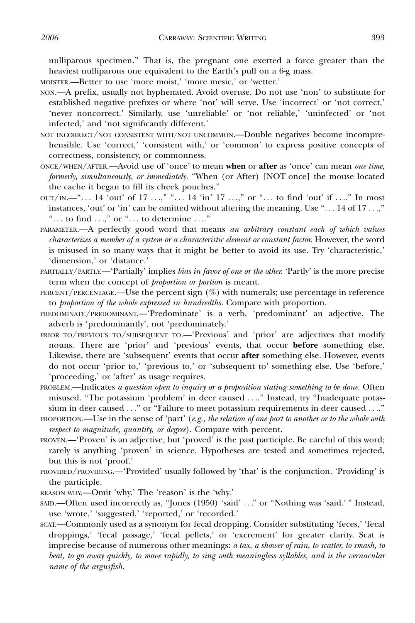nulliparous specimen.'' That is, the pregnant one exerted a force greater than the heaviest nulliparous one equivalent to the Earth's pull on a 6-g mass.

MOISTER.—Better to use 'more moist,' 'more mesic,' or 'wetter.'

- NON.—A prefix, usually not hyphenated. Avoid overuse. Do not use 'non' to substitute for established negative prefixes or where 'not' will serve. Use 'incorrect' or 'not correct,' 'never noncorrect.' Similarly, use 'unreliable' or 'not reliable,' 'uninfected' or 'not infected,' and 'not significantly different.'
- NOT INCORRECT/NOT CONSISTENT WITH/NOT UNCOMMON.—Double negatives become incomprehensible. Use 'correct,' 'consistent with,' or 'common' to express positive concepts of correctness, consistency, or commonness.
- ONCE/WHEN/AFTER.—Avoid use of 'once' to mean when or after as 'once' can mean one time, formerly, simultaneously, or immediately. ''When (or After) [NOT once] the mouse located the cache it began to fill its cheek pouches.''
- $\text{OUT}/\text{IN.}$ —"... 14 'out' of 17 ...," "... 14 'in' 17 ...," or "... to find 'out' if ...." In most instances, 'out' or 'in' can be omitted without altering the meaning. Use " $\dots$  14 of 17 $\dots$ " "... to find  $\ldots$ ," or " $\ldots$  to determine  $\ldots$ ."
- PARAMETER.—A perfectly good word that means an arbitrary constant each of which values characterizes a member of a system or a characteristic element or constant factor. However, the word is misused in so many ways that it might be better to avoid its use. Try 'characteristic,' 'dimension,' or 'distance.'
- PARTIALLY/PARTLY.—'Partially' implies bias in favor of one or the other. 'Partly' is the more precise term when the concept of *proportion or portion* is meant.
- PERCENT/PERCENTAGE.—Use the percent sign  $(\%)$  with numerals; use percentage in reference to proportion of the whole expressed in hundredths. Compare with proportion.
- PREDOMINATE/PREDOMINANT.—'Predominate' is a verb, 'predominant' an adjective. The adverb is 'predominantly', not 'predominately.'
- PRIOR TO/PREVIOUS TO/SUBSEQUENT TO.—'Previous' and 'prior' are adjectives that modify nouns. There are 'prior' and 'previous' events, that occur before something else. Likewise, there are 'subsequent' events that occur after something else. However, events do not occur 'prior to,' 'previous to,' or 'subsequent to' something else. Use 'before,' 'proceeding,' or 'after' as usage requires.
- PROBLEM.—Indicates a question open to inquiry or a proposition stating something to be done. Often misused. "The potassium 'problem' in deer caused ...." Instead, try "Inadequate potassium in deer caused ..." or "Failure to meet potassium requirements in deer caused ...."
- PROPORTION.—Use in the sense of 'part' (e.g., the relation of one part to another or to the whole with respect to magnitude, quantity, or degree). Compare with percent.
- PROVEN.—'Proven' is an adjective, but 'proved' is the past participle. Be careful of this word; rarely is anything 'proven' in science. Hypotheses are tested and sometimes rejected, but this is not 'proof.'
- PROVIDED/PROVIDING.—'Provided' usually followed by 'that' is the conjunction. 'Providing' is the participle.
- REASON WHY.—Omit 'why.' The 'reason' is the 'why.'
- SAID.—Often used incorrectly as, ''Jones (1950) 'said' ...'' or ''Nothing was 'said.' '' Instead, use 'wrote,' 'suggested,' 'reported,' or 'recorded.'
- SCAT.—Commonly used as a synonym for fecal dropping. Consider substituting 'feces,' 'fecal droppings,' 'fecal passage,' 'fecal pellets,' or 'excrement' for greater clarity. Scat is imprecise because of numerous other meanings: a tax, a shower of rain, to scatter, to smash, to beat, to go away quickly, to move rapidly, to sing with meaningless syllables, and is the vernacular name of the argusfish.